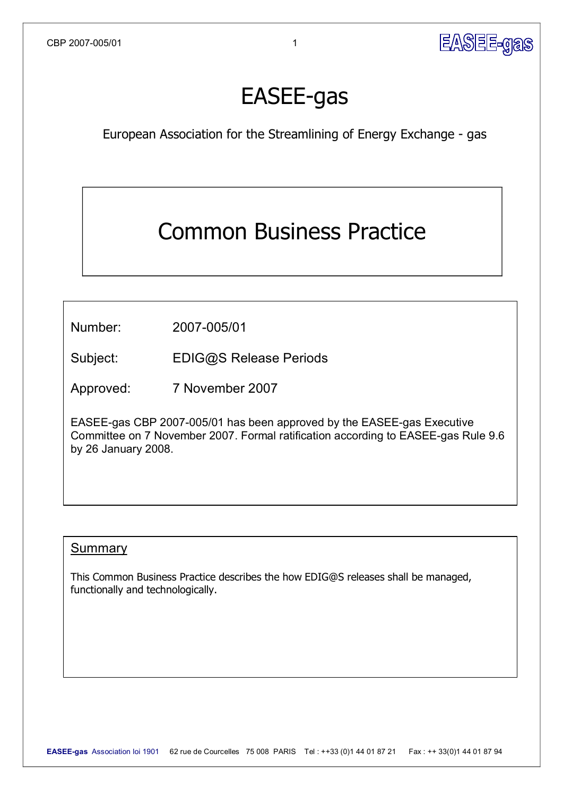

# **EASEE-gas**

European Association for the Streamlining of Energy Exchange - gas

## Common Business Practice

Number: 2007-005/01

Subject: [EDIG@S](mailto:EDIG@S) Release Periods

Approved: 7 November 2007

EASEE-gas CBP 2007-005/01 has been approved by the EASEE-gas Executive Committee on 7 November 2007. Formal ratification according to EASEE-gas Rule 9.6 by 26 January 2008.

#### **Summary**

This Common Business Practice describes the how EDIG@S releases shall be managed, functionally and technologically.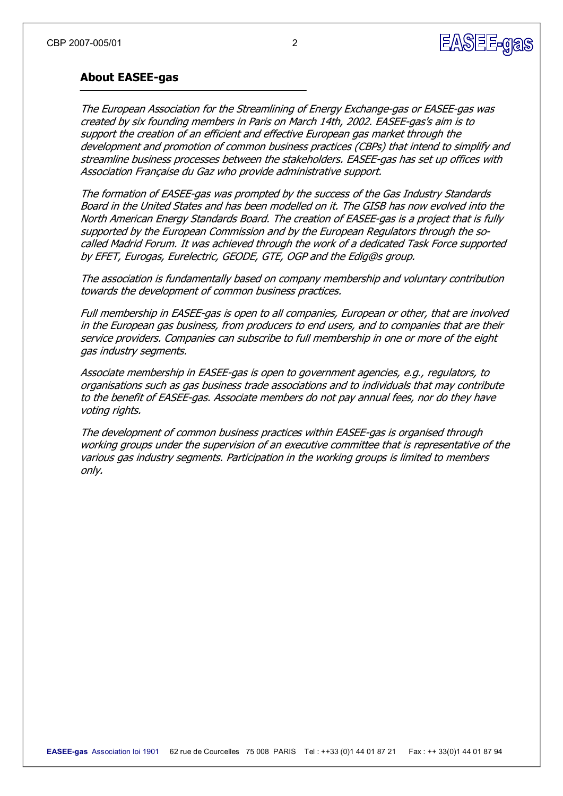

#### **About EASEEgas**

The European Association for the Streamlining of Energy Exchange-gas or EASEE-gas was created by six founding members in Paris on March 14th, 2002. EASEE-gas's aim is to support the creation of an efficient and effective European gas market through the development and promotion of common business practices (CBPs) that intend to simplify and streamline business processes between the stakeholders. EASEE-gas has set up offices with Association Française du Gaz who provide administrative support.

The formation of EASEE-gas was prompted by the success of the Gas Industry Standards Board in the United States and has been modelled on it. The GISB has now evolved into the North American Energy Standards Board. The creation of EASEE-gas is a project that is fully supported by the European Commission and by the European Regulators through the socalled Madrid Forum. It was achieved through the work of a dedicated Task Force supported by EFET, Eurogas, Eurelectric, GEODE, GTE, OGP and the Edig@s group.

The association is fundamentally based on company membership and voluntary contribution towards the development of common business practices.

Full membership in EASEE-gas is open to all companies, European or other, that are involved in the European gas business, from producers to end users, and to companies that are their service providers. Companies can subscribe to full membership in one or more of the eight gas industry segments.

Associate membership in EASEE-gas is open to government agencies, e.g., regulators, to organisations such as gas business trade associations and to individuals that may contribute to the benefit of EASEE-gas. Associate members do not pay annual fees, nor do they have voting rights.

The development of common business practices within EASEE-gas is organised through working groups under the supervision of an executive committee that is representative of the various gas industry segments. Participation in the working groups is limited to members only.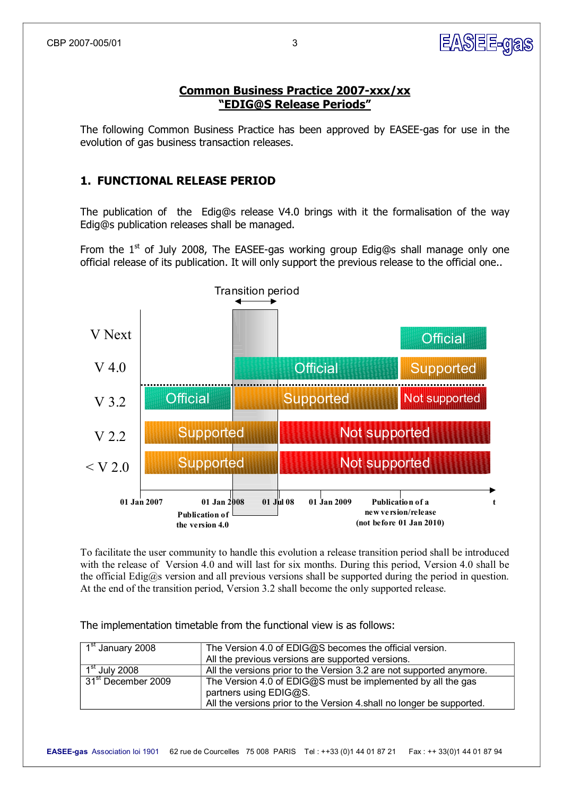#### **Common Business Practice 2007-xxx/xx "EDIG@S Release Periods"**

The following Common Business Practice has been approved by EASEE-gas for use in the evolution of gas business transaction releases.

#### **1. FUNCTIONAL RELEASE PERIOD**

The publication of the Edig@s release V4.0 brings with it the formalisation of the way Edig@s publication releases shall be managed.

From the  $1<sup>st</sup>$  of July 2008, The EASEE-gas working group Edig@s shall manage only one official release of its publication. It will only support the previous release to the official one..



To facilitate the user community to handle this evolution a release transition period shall be introduced with the release of Version 4.0 and will last for six months. During this period, Version 4.0 shall be the official Edig@s version and all previous versions shall be supported during the period in question. At the end of the transition period, Version 3.2 shall become the only supported release.

The implementation timetable from the functional view is as follows:

| $\sqrt{1^{st}}$ January 2008   | The Version 4.0 of EDIG@S becomes the official version.<br>All the previous versions are supported versions.                                                    |
|--------------------------------|-----------------------------------------------------------------------------------------------------------------------------------------------------------------|
| $1st$ July 2008                | All the versions prior to the Version 3.2 are not supported anymore.                                                                                            |
| 31 <sup>st</sup> December 2009 | The Version 4.0 of EDIG@S must be implemented by all the gas<br>partners using EDIG@S.<br>All the versions prior to the Version 4 shall no longer be supported. |

**EASEE-gas**